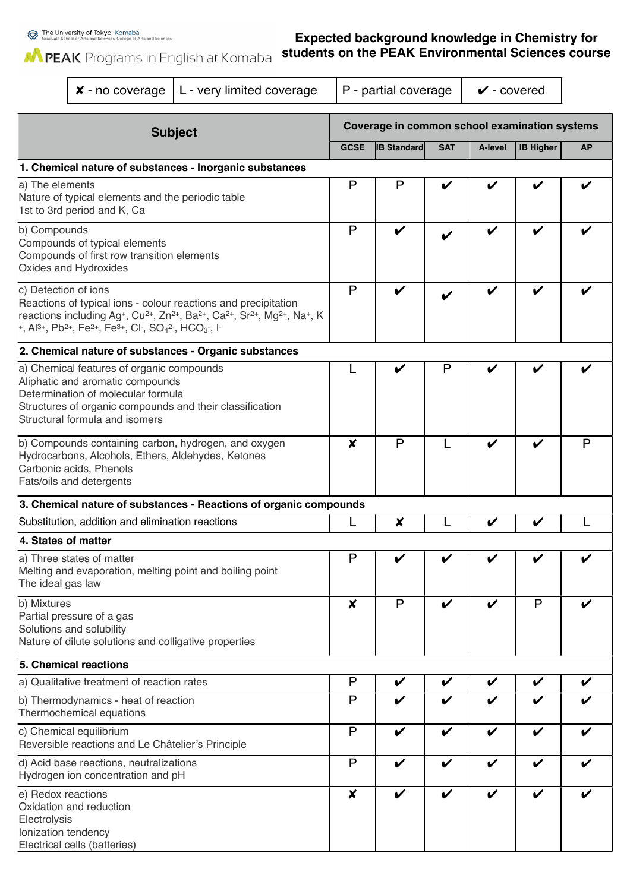The University of Tokyo, Komaba<br>Graduate School of Arts and Sciences, College of Arts and Sciences

## **Expected background knowledge in Chemistry for students on the PEAK Environmental Sciences course**

MPEAK Programs in English at Komaba

| $x$ - no coverage                                                                                                                                                                                                                                                                                                                                                                                                                            |                                            | L - very limited coverage                                         |                                               | P - partial coverage |                    | $\checkmark$ - covered     |                  |           |
|----------------------------------------------------------------------------------------------------------------------------------------------------------------------------------------------------------------------------------------------------------------------------------------------------------------------------------------------------------------------------------------------------------------------------------------------|--------------------------------------------|-------------------------------------------------------------------|-----------------------------------------------|----------------------|--------------------|----------------------------|------------------|-----------|
|                                                                                                                                                                                                                                                                                                                                                                                                                                              |                                            | <b>Subject</b>                                                    | Coverage in common school examination systems |                      |                    |                            |                  |           |
|                                                                                                                                                                                                                                                                                                                                                                                                                                              |                                            |                                                                   | <b>GCSE</b>                                   | <b>IB Standard</b>   | <b>SAT</b>         | A-level                    | <b>IB Higher</b> | <b>AP</b> |
|                                                                                                                                                                                                                                                                                                                                                                                                                                              |                                            | 1. Chemical nature of substances - Inorganic substances           |                                               |                      |                    |                            |                  |           |
| a) The elements<br>Nature of typical elements and the periodic table<br>1st to 3rd period and K, Ca                                                                                                                                                                                                                                                                                                                                          |                                            |                                                                   | P                                             | P                    |                    |                            |                  |           |
| b) Compounds<br>Compounds of typical elements<br>Compounds of first row transition elements<br>Oxides and Hydroxides                                                                                                                                                                                                                                                                                                                         |                                            |                                                                   | P                                             | ✔                    |                    | V                          |                  |           |
| c) Detection of ions<br>Reactions of typical ions - colour reactions and precipitation<br>reactions including Ag <sup>+</sup> , Cu <sup>2+</sup> , Zn <sup>2+</sup> , Ba <sup>2+</sup> , Ca <sup>2+</sup> , Sr <sup>2+</sup> , Mg <sup>2+</sup> , Na <sup>+</sup> , K<br>+, Al <sup>3+</sup> , Pb <sup>2+</sup> , Fe <sup>2+</sup> , Fe <sup>3+</sup> , Cl <sup>-</sup> , SO <sub>4</sub> <sup>2-</sup> , HCO <sub>3</sub> -, I <sup>-</sup> |                                            |                                                                   |                                               | V                    |                    | V                          | ✔                |           |
|                                                                                                                                                                                                                                                                                                                                                                                                                                              |                                            | 2. Chemical nature of substances - Organic substances             |                                               |                      |                    |                            |                  |           |
| a) Chemical features of organic compounds<br>Aliphatic and aromatic compounds<br>Determination of molecular formula<br>Structures of organic compounds and their classification<br>Structural formula and isomers                                                                                                                                                                                                                            |                                            |                                                                   |                                               | V                    | P                  | V                          |                  |           |
| b) Compounds containing carbon, hydrogen, and oxygen<br>Hydrocarbons, Alcohols, Ethers, Aldehydes, Ketones<br>Carbonic acids, Phenols<br>Fats/oils and detergents                                                                                                                                                                                                                                                                            |                                            |                                                                   | X                                             | P                    |                    | V                          | V                | P         |
|                                                                                                                                                                                                                                                                                                                                                                                                                                              |                                            | 3. Chemical nature of substances - Reactions of organic compounds |                                               |                      |                    |                            |                  |           |
| Substitution, addition and elimination reactions                                                                                                                                                                                                                                                                                                                                                                                             |                                            |                                                                   | L                                             | X                    |                    | V                          | V                |           |
| 4. States of matter                                                                                                                                                                                                                                                                                                                                                                                                                          |                                            |                                                                   |                                               |                      |                    |                            |                  |           |
| a) Three states of matter<br>Melting and evaporation, melting point and boiling point<br>The ideal gas law                                                                                                                                                                                                                                                                                                                                   |                                            |                                                                   | P                                             | ✔                    | ✔                  | ✔                          | ✔                | ✔         |
| b) Mixtures<br>Partial pressure of a gas<br>Solutions and solubility<br>Nature of dilute solutions and colligative properties                                                                                                                                                                                                                                                                                                                |                                            |                                                                   | X                                             | P                    | V                  | $\boldsymbol{\nu}$         | P                |           |
| 5. Chemical reactions                                                                                                                                                                                                                                                                                                                                                                                                                        |                                            |                                                                   |                                               |                      |                    |                            |                  |           |
|                                                                                                                                                                                                                                                                                                                                                                                                                                              | a) Qualitative treatment of reaction rates |                                                                   |                                               | V                    | V                  | $\boldsymbol{\mathcal{U}}$ | V                | V         |
| b) Thermodynamics - heat of reaction<br>Thermochemical equations                                                                                                                                                                                                                                                                                                                                                                             |                                            |                                                                   | P                                             | V                    | ✔                  | V                          | V                |           |
| c) Chemical equilibrium<br>Reversible reactions and Le Châtelier's Principle                                                                                                                                                                                                                                                                                                                                                                 |                                            |                                                                   | P                                             | $\boldsymbol{\nu}$   | $\boldsymbol{\nu}$ | $\boldsymbol{\nu}$         | V                |           |
| d) Acid base reactions, neutralizations<br>Hydrogen ion concentration and pH                                                                                                                                                                                                                                                                                                                                                                 |                                            |                                                                   | P                                             | V                    | V                  | $\boldsymbol{\nu}$         | V                |           |
| e) Redox reactions<br>Oxidation and reduction<br>Electrolysis<br>Ionization tendency<br>Electrical cells (batteries)                                                                                                                                                                                                                                                                                                                         |                                            |                                                                   | $\boldsymbol{x}$                              | V                    | V                  | $\boldsymbol{\nu}$         | V                |           |